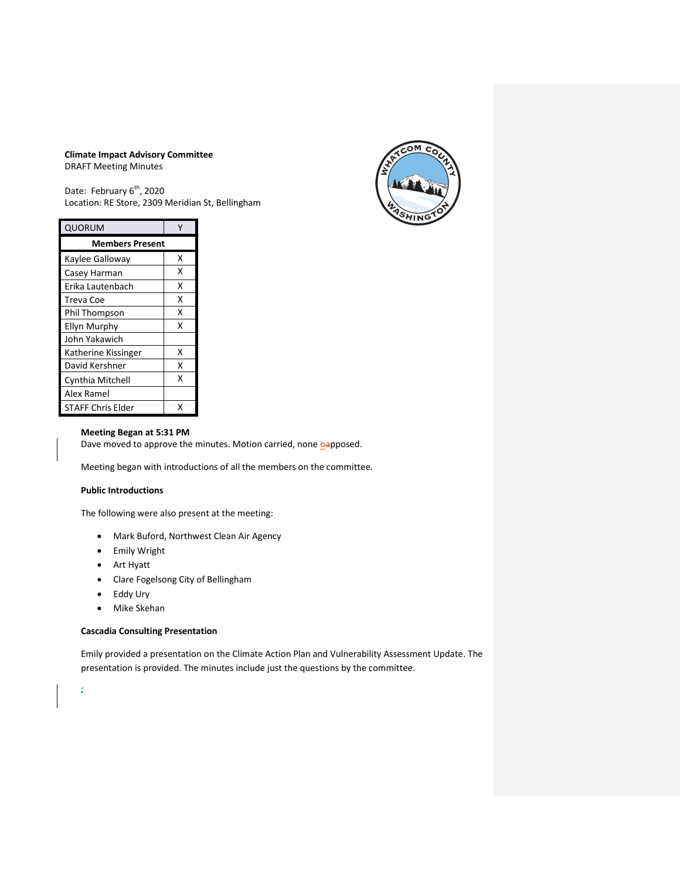### **Climate Impact Advisory Committee** DRAFT Meeting Minutes



Date: February 6<sup>th</sup>, 2020 Location: RE Store, 2309 Meridian St, Bellingham

| <b>QUORUM</b>            | γ |
|--------------------------|---|
| <b>Members Present</b>   |   |
| Kaylee Galloway          | x |
| Casey Harman             | x |
| Erika Lautenbach         | x |
| Treva Coe                | x |
| Phil Thompson            | x |
| Ellyn Murphy             | x |
| John Yakawich            |   |
| Katherine Kissinger      | x |
| David Kershner           | x |
| Cynthia Mitchell         | x |
| Alex Ramel               |   |
| <b>STAFF Chris Elder</b> | x |

# **Meeting Began at 5:31 PM**

Dave moved to approve the minutes. Motion carried, none oapposed.

Meeting began with introductions of all the members on the committee.

# **Public Introductions**

The following were also present at the meeting:

- Mark Buford, Northwest Clean Air Agency
- Emily Wright
- Art Hyatt
- Clare Fogelsong City of Bellingham
- Eddy Ury
- Mike Skehan

# **Cascadia Consulting Presentation**

Emily provided a presentation on the Climate Action Plan and Vulnerability Assessment Update. The presentation is provided. The minutes include just the questions by the committee.

'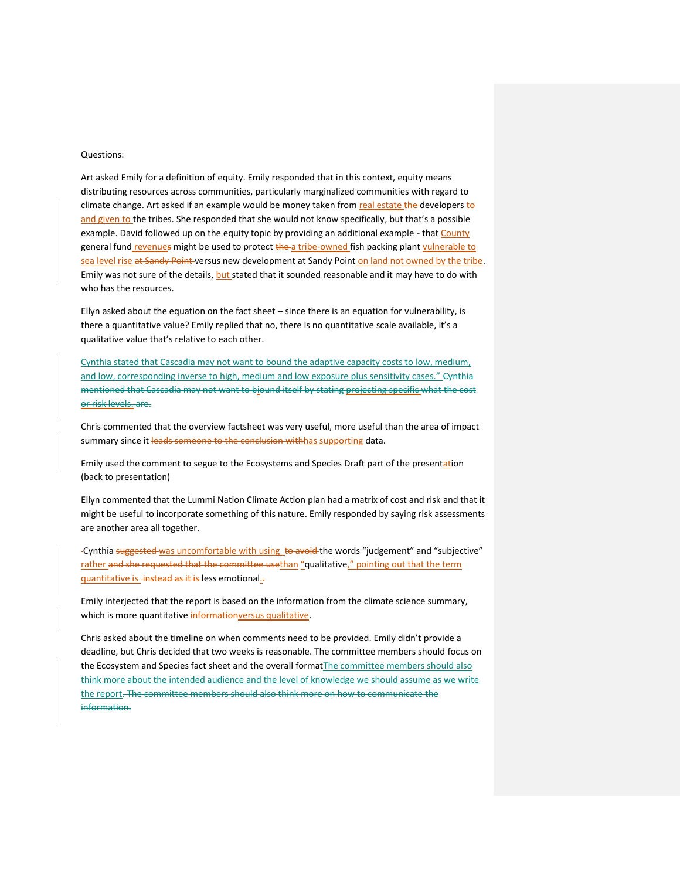### Questions:

Art asked Emily for a definition of equity. Emily responded that in this context, equity means distributing resources across communities, particularly marginalized communities with regard to climate change. Art asked if an example would be money taken from real estate the developers to and given to the tribes. She responded that she would not know specifically, but that's a possible example. David followed up on the equity topic by providing an additional example - that County general fund revenues might be used to protect the a tribe-owned fish packing plant vulnerable to sea level rise at Sandy Point versus new development at Sandy Point on land not owned by the tribe. Emily was not sure of the details, but stated that it sounded reasonable and it may have to do with who has the resources.

Ellyn asked about the equation on the fact sheet – since there is an equation for vulnerability, is there a quantitative value? Emily replied that no, there is no quantitative scale available, it's a qualitative value that's relative to each other.

Cynthia stated that Cascadia may not want to bound the adaptive capacity costs to low, medium, and low, corresponding inverse to high, medium and low exposure plus sensitivity cases." Cynthia mentioned that Cascadia may not want to biound itself by stating projecting specific what the cost or risk levels. are.

Chris commented that the overview factsheet was very useful, more useful than the area of impact summary since it leads someone to the conclusion withhas supporting data.

Emily used the comment to segue to the Ecosystems and Species Draft part of the presentation (back to presentation)

Ellyn commented that the Lummi Nation Climate Action plan had a matrix of cost and risk and that it might be useful to incorporate something of this nature. Emily responded by saying risk assessments are another area all together.

-Cynthia suggested was uncomfortable with using to avoid the words "judgement" and "subjective" rather and she requested that the committee usethan "qualitative," pointing out that the term quantitative is\_instead as it is less emotional.

Emily interjected that the report is based on the information from the climate science summary, which is more quantitative informationversus qualitative.

Chris asked about the timeline on when comments need to be provided. Emily didn't provide a deadline, but Chris decided that two weeks is reasonable. The committee members should focus on the Ecosystem and Species fact sheet and the overall formatThe committee members should also think more about the intended audience and the level of knowledge we should assume as we write the report. The committee members should also think more on how to communicate the information.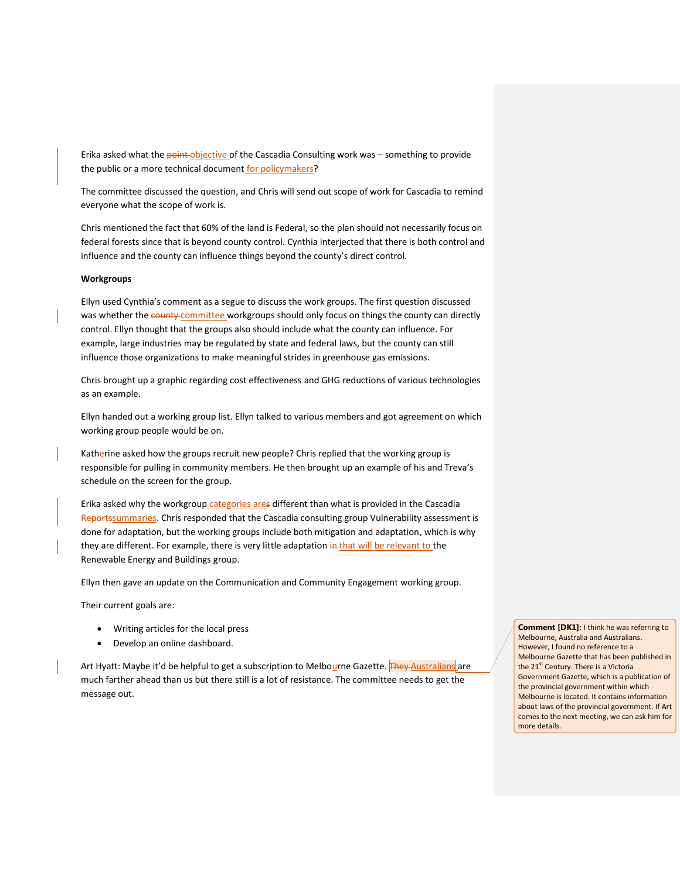Erika asked what the point objective of the Cascadia Consulting work was - something to provide the public or a more technical document for policymakers?

The committee discussed the question, and Chris will send out scope of work for Cascadia to remind everyone what the scope of work is.

Chris mentioned the fact that 60% of the land is Federal, so the plan should not necessarily focus on federal forests since that is beyond county control. Cynthia interjected that there is both control and influence and the county can influence things beyond the county's direct control.

#### **Workgroups**

Ellyn used Cynthia's comment as a segue to discuss the work groups. The first question discussed was whether the county committee workgroups should only focus on things the county can directly control. Ellyn thought that the groups also should include what the county can influence. For example, large industries may be regulated by state and federal laws, but the county can still influence those organizations to make meaningful strides in greenhouse gas emissions.

Chris brought up a graphic regarding cost effectiveness and GHG reductions of various technologies as an example.

Ellyn handed out a working group list. Ellyn talked to various members and got agreement on which working group people would be on.

Katherine asked how the groups recruit new people? Chris replied that the working group is responsible for pulling in community members. He then brought up an example of his and Treva's schedule on the screen for the group.

Erika asked why the workgroup categories ares different than what is provided in the Cascadia Reportssummaries. Chris responded that the Cascadia consulting group Vulnerability assessment is done for adaptation, but the working groups include both mitigation and adaptation, which is why they are different. For example, there is very little adaptation in that will be relevant to the Renewable Energy and Buildings group.

Ellyn then gave an update on the Communication and Community Engagement working group.

Their current goals are:

- Writing articles for the local press
- Develop an online dashboard.

Art Hyatt: Maybe it'd be helpful to get a subscription to Melbourne Gazette. **They Australians** are much farther ahead than us but there still is a lot of resistance. The committee needs to get the message out.

**Comment [DK1]:** I think he was referring to Melbourne, Australia and Australians. However, I found no reference to a Melbourne Gazette that has been published in the 21<sup>st</sup> Century. There is a Victoria Government Gazette, which is a publication of the provincial government within which Melbourne is located. It contains information about laws of the provincial government. If Art comes to the next meeting, we can ask him for more details.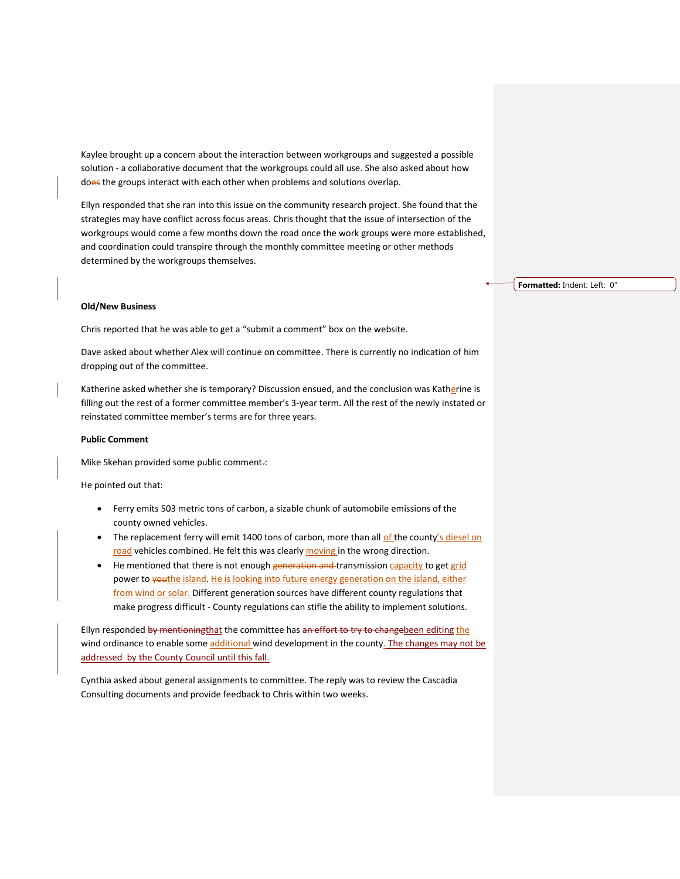Kaylee brought up a concern about the interaction between workgroups and suggested a possible solution - a collaborative document that the workgroups could all use. She also asked about how does the groups interact with each other when problems and solutions overlap.

Ellyn responded that she ran into this issue on the community research project. She found that the strategies may have conflict across focus areas. Chris thought that the issue of intersection of the workgroups would come a few months down the road once the work groups were more established, and coordination could transpire through the monthly committee meeting or other methods determined by the workgroups themselves.

#### **Old/New Business**

Chris reported that he was able to get a "submit a comment" box on the website.

Dave asked about whether Alex will continue on committee. There is currently no indication of him dropping out of the committee.

Katherine asked whether she is temporary? Discussion ensued, and the conclusion was Katherine is filling out the rest of a former committee member's 3-year term. All the rest of the newly instated or reinstated committee member's terms are for three years.

### **Public Comment**

Mike Skehan provided some public comment.:

He pointed out that:

- Ferry emits 503 metric tons of carbon, a sizable chunk of automobile emissions of the county owned vehicles.
- The replacement ferry will emit 1400 tons of carbon, more than all of the county's diesel on road vehicles combined. He felt this was clearly moving in the wrong direction.
- He mentioned that there is not enough generation and transmission capacity to get grid power to youthe island. He is looking into future energy generation on the island, either from wind or solar. Different generation sources have different county regulations that make progress difficult - County regulations can stifle the ability to implement solutions.

Ellyn responded by mentioningthat the committee has an effort to try to changebeen editing the wind ordinance to enable some additional wind development in the county. The changes may not be addressed by the County Council until this fall.

Cynthia asked about general assignments to committee. The reply was to review the Cascadia Consulting documents and provide feedback to Chris within two weeks.

**Formatted:** Indent: Left: 0"